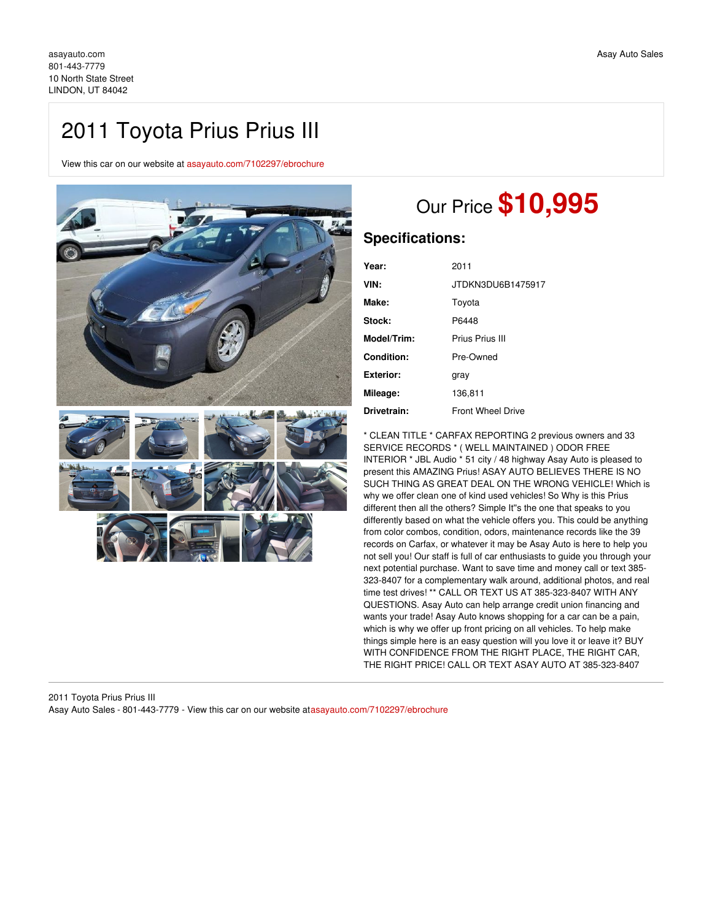## 2011 Toyota Prius Prius III

View this car on our website at [asayauto.com/7102297/ebrochure](https://asayauto.com/vehicle/7102297/2011-toyota-prius-prius-iii-lindon-ut-84042/7102297/ebrochure)



# Our Price **\$10,995**

### **Specifications:**

| Year:            | 2011                     |
|------------------|--------------------------|
| VIN:             | JTDKN3DU6B1475917        |
| Make:            | Toyota                   |
| Stock:           | P6448                    |
| Model/Trim:      | Prius Prius III          |
| Condition:       | Pre-Owned                |
| <b>Exterior:</b> | gray                     |
| Mileage:         | 136,811                  |
| Drivetrain:      | <b>Front Wheel Drive</b> |

\* CLEAN TITLE \* CARFAX REPORTING 2 previous owners and 33 SERVICE RECORDS \* ( WELL MAINTAINED ) ODOR FREE INTERIOR \* JBL Audio \* 51 city / 48 highway Asay Auto is pleased to present this AMAZING Prius! ASAY AUTO BELIEVES THERE IS NO SUCH THING AS GREAT DEAL ON THE WRONG VEHICLE! Which is why we offer clean one of kind used vehicles! So Why is this Prius different then all the others? Simple It''s the one that speaks to you differently based on what the vehicle offers you. This could be anything from color combos, condition, odors, maintenance records like the 39 records on Carfax, or whatever it may be Asay Auto is here to help you not sell you! Our staff is full of car enthusiasts to guide you through your next potential purchase. Want to save time and money call or text 385- 323-8407 for a complementary walk around, additional photos, and real time test drives! \*\* CALL OR TEXT US AT 385-323-8407 WITH ANY QUESTIONS. Asay Auto can help arrange credit union financing and wants your trade! Asay Auto knows shopping for a car can be a pain, which is why we offer up front pricing on all vehicles. To help make things simple here is an easy question will you love it or leave it? BUY WITH CONFIDENCE FROM THE RIGHT PLACE, THE RIGHT CAR, THE RIGHT PRICE! CALL OR TEXT ASAY AUTO AT 385-323-8407

#### 2011 Toyota Prius Prius III Asay Auto Sales - 801-443-7779 - View this car on our website at[asayauto.com/7102297/ebrochure](https://asayauto.com/vehicle/7102297/2011-toyota-prius-prius-iii-lindon-ut-84042/7102297/ebrochure)